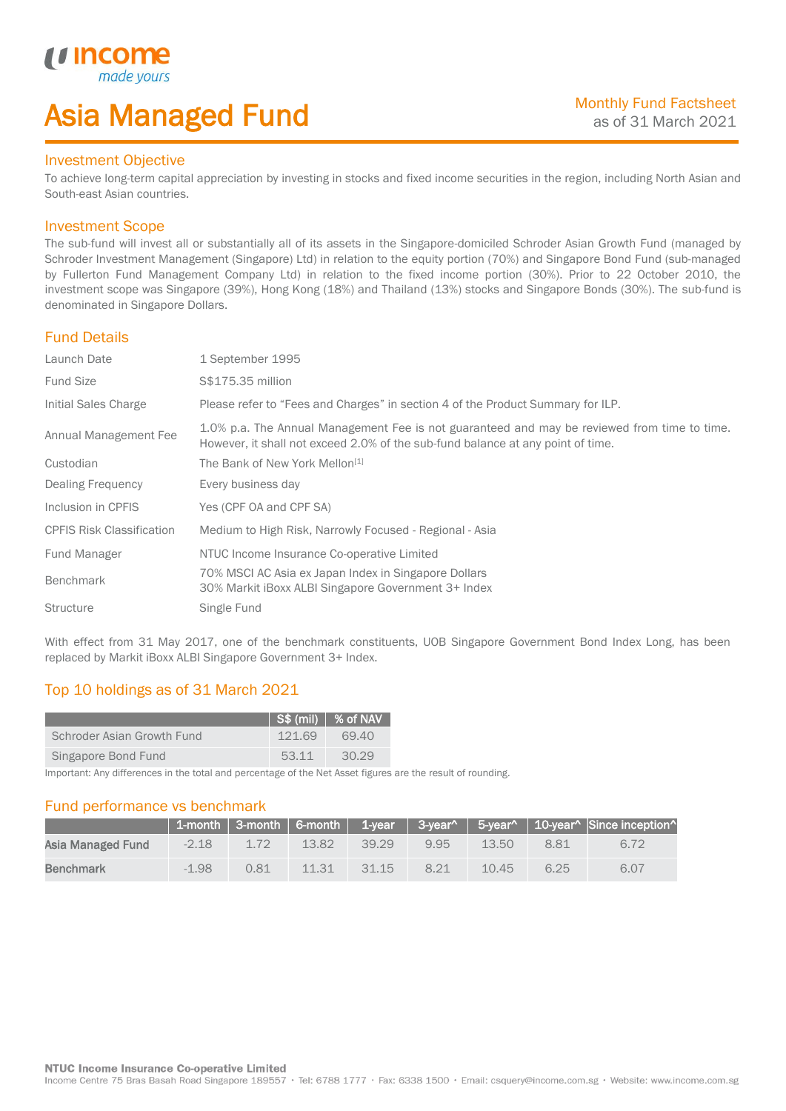# Asia Managed Fund

# Investment Objective

*u* incom

I

To achieve long-term capital appreciation by investing in stocks and fixed income securities in the region, including North Asian and South-east Asian countries.

# Investment Scope

The sub-fund will invest all or substantially all of its assets in the Singapore-domiciled Schroder Asian Growth Fund (managed by Schroder Investment Management (Singapore) Ltd) in relation to the equity portion (70%) and Singapore Bond Fund (sub-managed by Fullerton Fund Management Company Ltd) in relation to the fixed income portion (30%). Prior to 22 October 2010, the investment scope was Singapore (39%), Hong Kong (18%) and Thailand (13%) stocks and Singapore Bonds (30%). The sub-fund is denominated in Singapore Dollars.

# Fund Details

| Launch Date                      | 1 September 1995                                                                                                                                                                |
|----------------------------------|---------------------------------------------------------------------------------------------------------------------------------------------------------------------------------|
| <b>Fund Size</b>                 | S\$175.35 million                                                                                                                                                               |
| Initial Sales Charge             | Please refer to "Fees and Charges" in section 4 of the Product Summary for ILP.                                                                                                 |
| Annual Management Fee            | 1.0% p.a. The Annual Management Fee is not guaranteed and may be reviewed from time to time.<br>However, it shall not exceed 2.0% of the sub-fund balance at any point of time. |
| Custodian                        | The Bank of New York Mellon <sup>[1]</sup>                                                                                                                                      |
| Dealing Frequency                | Every business day                                                                                                                                                              |
| Inclusion in CPFIS               | Yes (CPF OA and CPF SA)                                                                                                                                                         |
| <b>CPFIS Risk Classification</b> | Medium to High Risk, Narrowly Focused - Regional - Asia                                                                                                                         |
| Fund Manager                     | NTUC Income Insurance Co-operative Limited                                                                                                                                      |
| <b>Benchmark</b>                 | 70% MSCI AC Asia ex Japan Index in Singapore Dollars<br>30% Markit iBoxx ALBI Singapore Government 3+ Index                                                                     |
| <b>Structure</b>                 | Single Fund                                                                                                                                                                     |

With effect from 31 May 2017, one of the benchmark constituents, UOB Singapore Government Bond Index Long, has been replaced by Markit iBoxx ALBI Singapore Government 3+ Index.

# Top 10 holdings as of 31 March 2021

|                            |        | $\vert$ S\$ (mil) $\vert$ % of NAV |
|----------------------------|--------|------------------------------------|
| Schroder Asian Growth Fund | 121.69 | 69.40                              |
| Singapore Bond Fund        | 53.11  | 30.29                              |

Important: Any differences in the total and percentage of the Net Asset figures are the result of rounding.

# Fund performance vs benchmark

|                   |         |      |       |       |     |       |      | 1-month   3-month   6-month   1-year   3-year^   5-year^   10-year^   Since inception^ |
|-------------------|---------|------|-------|-------|-----|-------|------|----------------------------------------------------------------------------------------|
| Asia Managed Fund | $-2.18$ | 1.72 | 13.82 | 39 29 | 995 | 13.50 | 881  | 6.72                                                                                   |
| Benchmark         | $-1.98$ | 0.81 | 11.31 | 31.15 | 821 | 10.45 | 6.25 | 6.07                                                                                   |